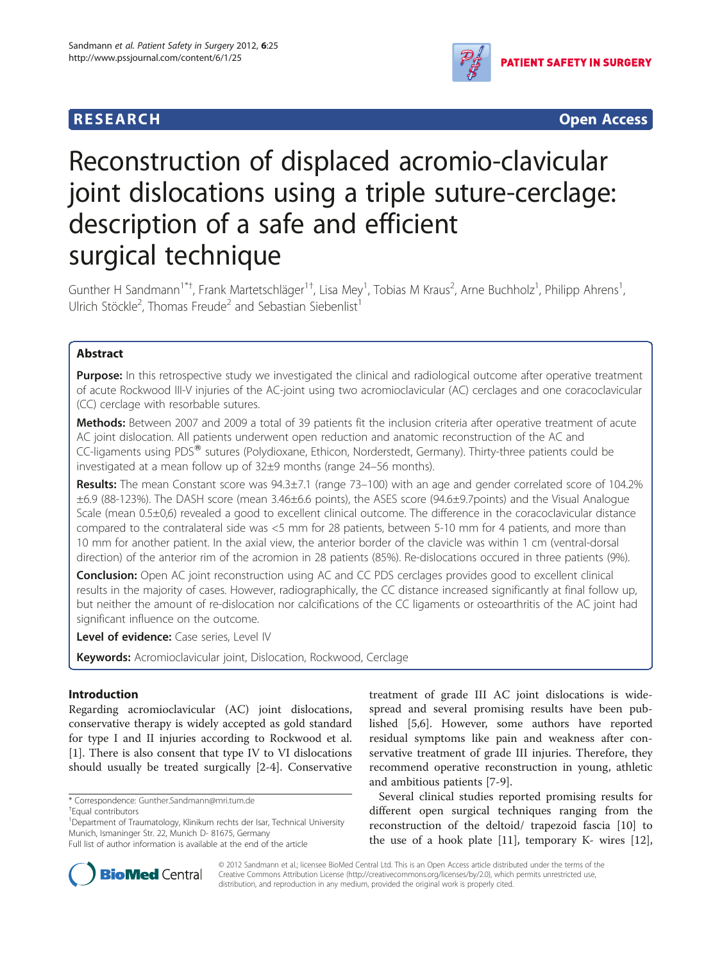

**RESEARCH RESEARCH** *CHECKER CHECKER CHECKER CHECKER CHECKER CHECKER CHECKER CHECKER CHECKER CHECKER CHECKER* 

# Reconstruction of displaced acromio-clavicular joint dislocations using a triple suture-cerclage: description of a safe and efficient surgical technique

Gunther H Sandmann<sup>1\*†</sup>, Frank Martetschläger<sup>1†</sup>, Lisa Mey<sup>1</sup>, Tobias M Kraus<sup>2</sup>, Arne Buchholz<sup>1</sup>, Philipp Ahrens<sup>1</sup> , Ulrich Stöckle<sup>2</sup>, Thomas Freude<sup>2</sup> and Sebastian Siebenlist<sup>1</sup>

# Abstract

Purpose: In this retrospective study we investigated the clinical and radiological outcome after operative treatment of acute Rockwood III-V injuries of the AC-joint using two acromioclavicular (AC) cerclages and one coracoclavicular (CC) cerclage with resorbable sutures.

Methods: Between 2007 and 2009 a total of 39 patients fit the inclusion criteria after operative treatment of acute AC joint dislocation. All patients underwent open reduction and anatomic reconstruction of the AC and CC-ligaments using PDS<sup>®</sup> sutures (Polydioxane, Ethicon, Norderstedt, Germany). Thirty-three patients could be investigated at a mean follow up of 32±9 months (range 24–56 months).

Results: The mean Constant score was  $94.3\pm7.1$  (range 73-100) with an age and gender correlated score of 104.2% ±6.9 (88-123%). The DASH score (mean 3.46±6.6 points), the ASES score (94.6±9.7points) and the Visual Analogue Scale (mean 0.5±0,6) revealed a good to excellent clinical outcome. The difference in the coracoclavicular distance compared to the contralateral side was <5 mm for 28 patients, between 5-10 mm for 4 patients, and more than 10 mm for another patient. In the axial view, the anterior border of the clavicle was within 1 cm (ventral-dorsal direction) of the anterior rim of the acromion in 28 patients (85%). Re-dislocations occured in three patients (9%).

Conclusion: Open AC joint reconstruction using AC and CC PDS cerclages provides good to excellent clinical results in the majority of cases. However, radiographically, the CC distance increased significantly at final follow up, but neither the amount of re-dislocation nor calcifications of the CC ligaments or osteoarthritis of the AC joint had significant influence on the outcome.

Level of evidence: Case series, Level IV

Keywords: Acromioclavicular joint, Dislocation, Rockwood, Cerclage

# Introduction

Regarding acromioclavicular (AC) joint dislocations, conservative therapy is widely accepted as gold standard for type I and II injuries according to Rockwood et al. [[1\]](#page-6-0). There is also consent that type IV to VI dislocations should usually be treated surgically [\[2](#page-6-0)-[4\]](#page-6-0). Conservative

treatment of grade III AC joint dislocations is widespread and several promising results have been published [\[5,6](#page-6-0)]. However, some authors have reported residual symptoms like pain and weakness after conservative treatment of grade III injuries. Therefore, they recommend operative reconstruction in young, athletic and ambitious patients [\[7](#page-6-0)-[9\]](#page-6-0).

Several clinical studies reported promising results for different open surgical techniques ranging from the reconstruction of the deltoid/ trapezoid fascia [\[10\]](#page-6-0) to the use of a hook plate [[11\]](#page-6-0), temporary K- wires [\[12](#page-6-0)],



© 2012 Sandmann et al.; licensee BioMed Central Ltd. This is an Open Access article distributed under the terms of the Creative Commons Attribution License (<http://creativecommons.org/licenses/by/2.0>), which permits unrestricted use, distribution, and reproduction in any medium, provided the original work is properly cited.

<sup>\*</sup> Correspondence: [Gunther.Sandmann@mri.tum.de](mailto:Gunther.Sandmann@mri.tum.de) †

Equal contributors

<sup>&</sup>lt;sup>1</sup>Department of Traumatology, Klinikum rechts der Isar, Technical University Munich, Ismaninger Str. 22, Munich D- 81675, Germany

Full list of author information is available at the end of the article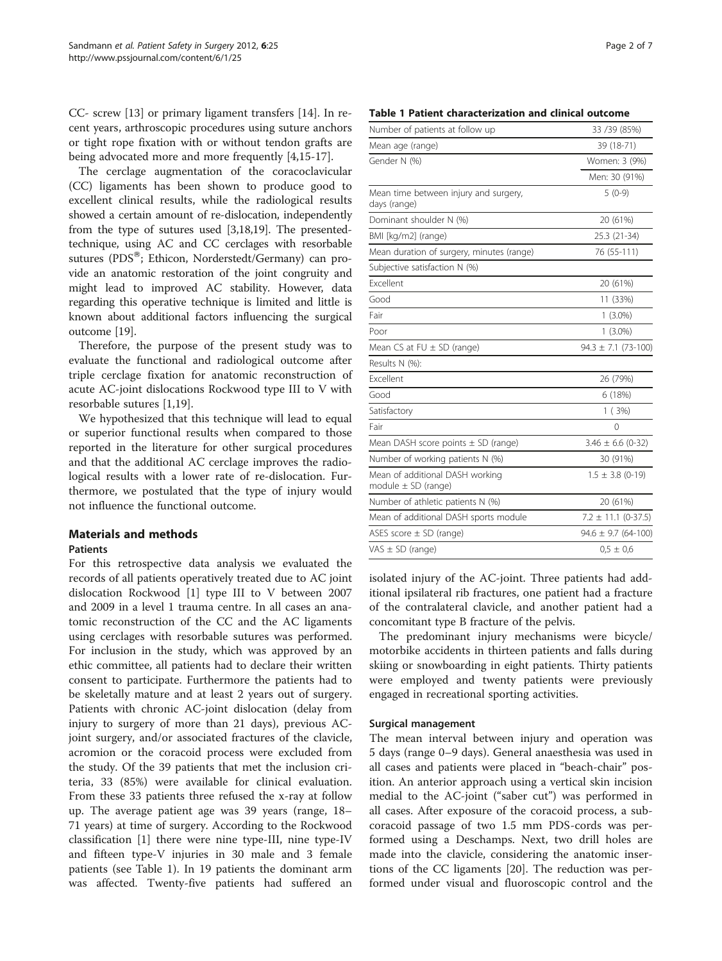<span id="page-1-0"></span>CC- screw [[13\]](#page-6-0) or primary ligament transfers [[14\]](#page-6-0). In recent years, arthroscopic procedures using suture anchors or tight rope fixation with or without tendon grafts are being advocated more and more frequently [[4,15-17\]](#page-6-0).

The cerclage augmentation of the coracoclavicular (CC) ligaments has been shown to produce good to excellent clinical results, while the radiological results showed a certain amount of re-dislocation, independently from the type of sutures used [\[3,18,19](#page-6-0)]. The presentedtechnique, using AC and CC cerclages with resorbable sutures ( $PDS^{\circledast}$ ; Ethicon, Norderstedt/Germany) can provide an anatomic restoration of the joint congruity and might lead to improved AC stability. However, data regarding this operative technique is limited and little is known about additional factors influencing the surgical outcome [[19](#page-6-0)].

Therefore, the purpose of the present study was to evaluate the functional and radiological outcome after triple cerclage fixation for anatomic reconstruction of acute AC-joint dislocations Rockwood type III to V with resorbable sutures [\[1](#page-6-0),[19](#page-6-0)].

We hypothesized that this technique will lead to equal or superior functional results when compared to those reported in the literature for other surgical procedures and that the additional AC cerclage improves the radiological results with a lower rate of re-dislocation. Furthermore, we postulated that the type of injury would not influence the functional outcome.

# Materials and methods

#### **Patients**

For this retrospective data analysis we evaluated the records of all patients operatively treated due to AC joint dislocation Rockwood [[1\]](#page-6-0) type III to V between 2007 and 2009 in a level 1 trauma centre. In all cases an anatomic reconstruction of the CC and the AC ligaments using cerclages with resorbable sutures was performed. For inclusion in the study, which was approved by an ethic committee, all patients had to declare their written consent to participate. Furthermore the patients had to be skeletally mature and at least 2 years out of surgery. Patients with chronic AC-joint dislocation (delay from injury to surgery of more than 21 days), previous ACjoint surgery, and/or associated fractures of the clavicle, acromion or the coracoid process were excluded from the study. Of the 39 patients that met the inclusion criteria, 33 (85%) were available for clinical evaluation. From these 33 patients three refused the x-ray at follow up. The average patient age was 39 years (range, 18– 71 years) at time of surgery. According to the Rockwood classification [\[1](#page-6-0)] there were nine type-III, nine type-IV and fifteen type-V injuries in 30 male and 3 female patients (see Table 1). In 19 patients the dominant arm was affected. Twenty-five patients had suffered an

#### Table 1 Patient characterization and clinical outcome

| Number of patients at follow up                            | 33 / 39 (85%)           |
|------------------------------------------------------------|-------------------------|
| Mean age (range)                                           | 39 (18-71)              |
| Gender N (%)                                               | Women: 3 (9%)           |
|                                                            | Men: 30 (91%)           |
| Mean time between injury and surgery,<br>days (range)      | $5(0-9)$                |
| Dominant shoulder N (%)                                    | 20 (61%)                |
| BMI [kg/m2] (range)                                        | 25.3 (21-34)            |
| Mean duration of surgery, minutes (range)                  | 76 (55-111)             |
| Subjective satisfaction N (%)                              |                         |
| Excellent                                                  | 20 (61%)                |
| Good                                                       | 11 (33%)                |
| Fair                                                       | $1(3.0\%)$              |
| Poor                                                       | $1(3.0\%)$              |
| Mean CS at FU ± SD (range)                                 | $94.3 \pm 7.1$ (73-100) |
| Results N (%):                                             |                         |
| Excellent                                                  | 26 (79%)                |
| Good                                                       | 6(18%)                  |
| Satisfactory                                               | 1(3%)                   |
| Fair                                                       | 0                       |
| Mean DASH score points $\pm$ SD (range)                    | $3.46 \pm 6.6$ (0-32)   |
| Number of working patients N (%)                           | 30 (91%)                |
| Mean of additional DASH working<br>module $\pm$ SD (range) | $1.5 \pm 3.8$ (0-19)    |
| Number of athletic patients N (%)                          | 20 (61%)                |
| Mean of additional DASH sports module                      | $7.2 \pm 11.1$ (0-37.5) |
| ASES score $\pm$ SD (range)                                | $94.6 \pm 9.7$ (64-100) |
| VAS $\pm$ SD (range)                                       | $0.5 \pm 0.6$           |
|                                                            |                         |

isolated injury of the AC-joint. Three patients had additional ipsilateral rib fractures, one patient had a fracture of the contralateral clavicle, and another patient had a concomitant type B fracture of the pelvis.

The predominant injury mechanisms were bicycle/ motorbike accidents in thirteen patients and falls during skiing or snowboarding in eight patients. Thirty patients were employed and twenty patients were previously engaged in recreational sporting activities.

#### Surgical management

The mean interval between injury and operation was 5 days (range 0–9 days). General anaesthesia was used in all cases and patients were placed in "beach-chair" position. An anterior approach using a vertical skin incision medial to the AC-joint ("saber cut") was performed in all cases. After exposure of the coracoid process, a subcoracoid passage of two 1.5 mm PDS-cords was performed using a Deschamps. Next, two drill holes are made into the clavicle, considering the anatomic insertions of the CC ligaments [[20\]](#page-6-0). The reduction was performed under visual and fluoroscopic control and the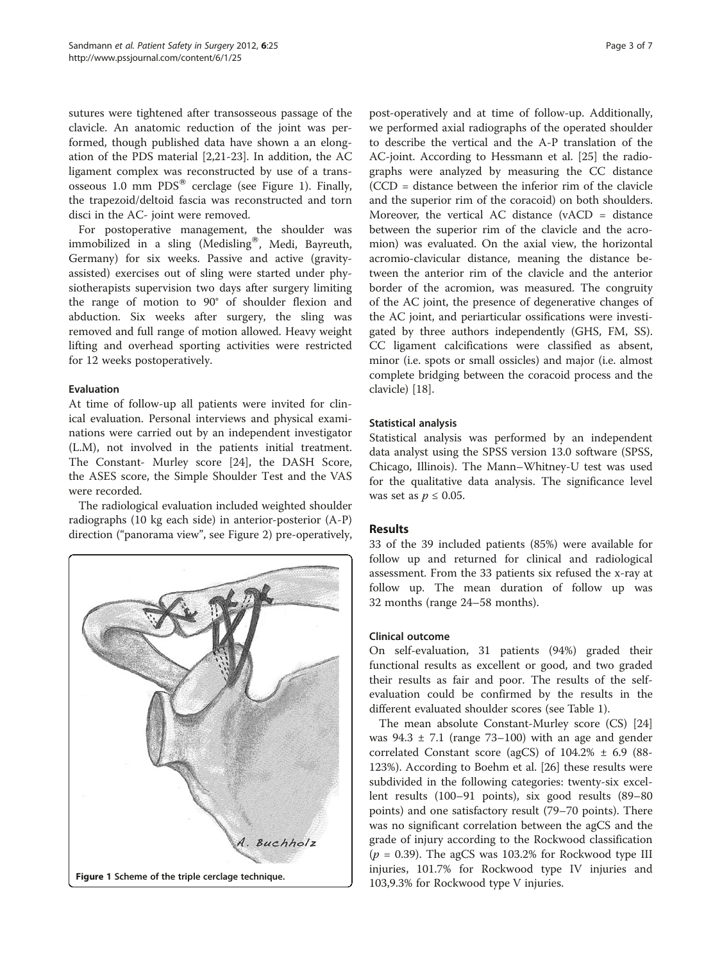sutures were tightened after transosseous passage of the clavicle. An anatomic reduction of the joint was performed, though published data have shown a an elongation of the PDS material [\[2,21-23](#page-6-0)]. In addition, the AC ligament complex was reconstructed by use of a transosseous 1.0 mm  $PDS^{\circledR}$  cerclage (see Figure 1). Finally, the trapezoid/deltoid fascia was reconstructed and torn disci in the AC- joint were removed.

For postoperative management, the shoulder was immobilized in a sling (Medisling®, Medi, Bayreuth, Germany) for six weeks. Passive and active (gravityassisted) exercises out of sling were started under physiotherapists supervision two days after surgery limiting the range of motion to 90° of shoulder flexion and abduction. Six weeks after surgery, the sling was removed and full range of motion allowed. Heavy weight lifting and overhead sporting activities were restricted for 12 weeks postoperatively.

## Evaluation

At time of follow-up all patients were invited for clinical evaluation. Personal interviews and physical examinations were carried out by an independent investigator (L.M), not involved in the patients initial treatment. The Constant- Murley score [\[24](#page-6-0)], the DASH Score, the ASES score, the Simple Shoulder Test and the VAS were recorded.

The radiological evaluation included weighted shoulder radiographs (10 kg each side) in anterior-posterior (A-P) direction ("panorama view", see Figure [2\)](#page-3-0) pre-operatively,



post-operatively and at time of follow-up. Additionally, we performed axial radiographs of the operated shoulder to describe the vertical and the A-P translation of the AC-joint. According to Hessmann et al. [\[25\]](#page-6-0) the radiographs were analyzed by measuring the CC distance (CCD = distance between the inferior rim of the clavicle and the superior rim of the coracoid) on both shoulders. Moreover, the vertical AC distance (vACD = distance between the superior rim of the clavicle and the acromion) was evaluated. On the axial view, the horizontal acromio-clavicular distance, meaning the distance between the anterior rim of the clavicle and the anterior border of the acromion, was measured. The congruity of the AC joint, the presence of degenerative changes of the AC joint, and periarticular ossifications were investigated by three authors independently (GHS, FM, SS). CC ligament calcifications were classified as absent, minor (i.e. spots or small ossicles) and major (i.e. almost complete bridging between the coracoid process and the clavicle) [\[18](#page-6-0)].

# Statistical analysis

Statistical analysis was performed by an independent data analyst using the SPSS version 13.0 software (SPSS, Chicago, Illinois). The Mann–Whitney-U test was used for the qualitative data analysis. The significance level was set as  $p \leq 0.05$ .

# Results

33 of the 39 included patients (85%) were available for follow up and returned for clinical and radiological assessment. From the 33 patients six refused the x-ray at follow up. The mean duration of follow up was 32 months (range 24–58 months).

#### Clinical outcome

On self-evaluation, 31 patients (94%) graded their functional results as excellent or good, and two graded their results as fair and poor. The results of the selfevaluation could be confirmed by the results in the different evaluated shoulder scores (see Table [1](#page-1-0)).

The mean absolute Constant-Murley score (CS) [[24](#page-6-0)] was  $94.3 \pm 7.1$  (range  $73-100$ ) with an age and gender correlated Constant score (agCS) of  $104.2\% \pm 6.9$  (88-123%). According to Boehm et al. [\[26](#page-6-0)] these results were subdivided in the following categories: twenty-six excellent results (100–91 points), six good results (89–80 points) and one satisfactory result (79–70 points). There was no significant correlation between the agCS and the grade of injury according to the Rockwood classification  $(p = 0.39)$ . The agCS was 103.2% for Rockwood type III injuries, 101.7% for Rockwood type IV injuries and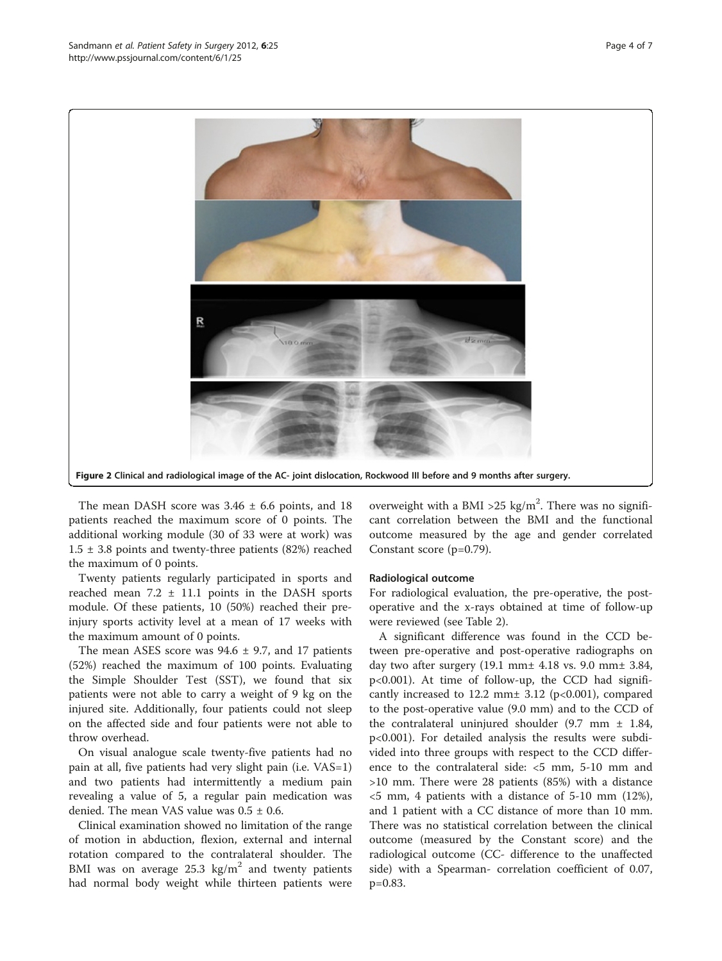<span id="page-3-0"></span>

The mean DASH score was  $3.46 \pm 6.6$  points, and 18 patients reached the maximum score of 0 points. The additional working module (30 of 33 were at work) was  $1.5 \pm 3.8$  points and twenty-three patients (82%) reached the maximum of 0 points.

Twenty patients regularly participated in sports and reached mean 7.2 ± 11.1 points in the DASH sports module. Of these patients, 10 (50%) reached their preinjury sports activity level at a mean of 17 weeks with the maximum amount of 0 points.

The mean ASES score was  $94.6 \pm 9.7$ , and 17 patients (52%) reached the maximum of 100 points. Evaluating the Simple Shoulder Test (SST), we found that six patients were not able to carry a weight of 9 kg on the injured site. Additionally, four patients could not sleep on the affected side and four patients were not able to throw overhead.

On visual analogue scale twenty-five patients had no pain at all, five patients had very slight pain (i.e. VAS=1) and two patients had intermittently a medium pain revealing a value of 5, a regular pain medication was denied. The mean VAS value was  $0.5 \pm 0.6$ .

Clinical examination showed no limitation of the range of motion in abduction, flexion, external and internal rotation compared to the contralateral shoulder. The BMI was on average  $25.3 \text{ kg/m}^2$  and twenty patients had normal body weight while thirteen patients were overweight with a BMI > 25 kg/m<sup>2</sup>. There was no significant correlation between the BMI and the functional outcome measured by the age and gender correlated Constant score (p=0.79).

#### Radiological outcome

For radiological evaluation, the pre-operative, the postoperative and the x-rays obtained at time of follow-up were reviewed (see Table [2](#page-4-0)).

A significant difference was found in the CCD between pre-operative and post-operative radiographs on day two after surgery (19.1 mm± 4.18 vs. 9.0 mm± 3.84, p<0.001). At time of follow-up, the CCD had significantly increased to 12.2 mm± 3.12 (p<0.001), compared to the post-operative value (9.0 mm) and to the CCD of the contralateral uninjured shoulder  $(9.7 \text{ mm} \pm 1.84,$ p<0.001). For detailed analysis the results were subdivided into three groups with respect to the CCD difference to the contralateral side: <5 mm, 5-10 mm and >10 mm. There were 28 patients (85%) with a distance  $<$  5 mm, 4 patients with a distance of 5-10 mm (12%), and 1 patient with a CC distance of more than 10 mm. There was no statistical correlation between the clinical outcome (measured by the Constant score) and the radiological outcome (CC- difference to the unaffected side) with a Spearman- correlation coefficient of 0.07, p=0.83.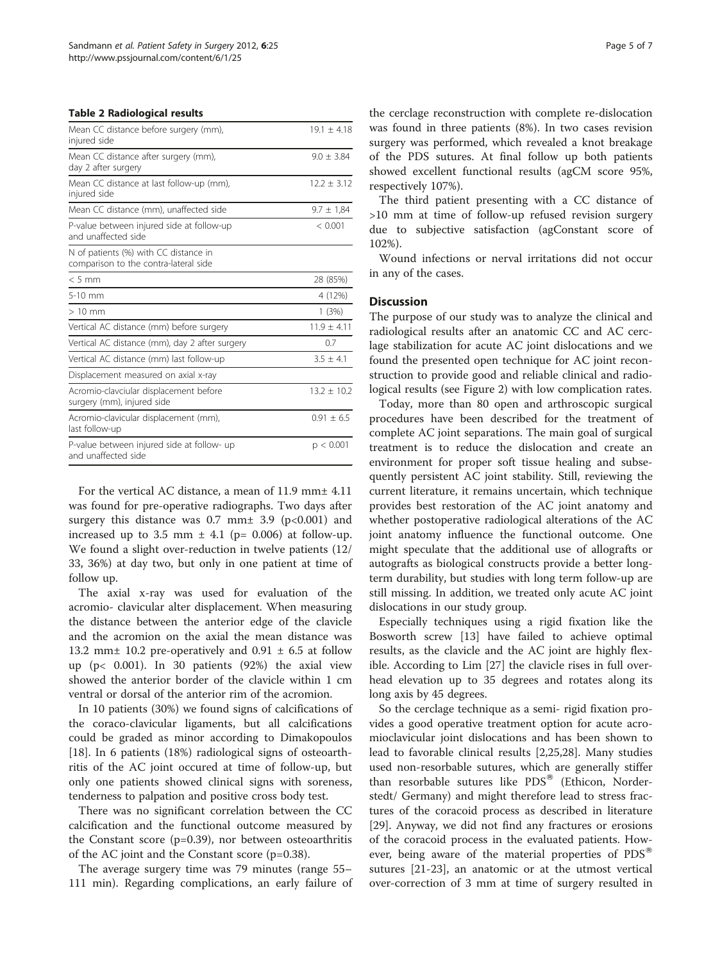#### <span id="page-4-0"></span>Table 2 Radiological results

| Mean CC distance before surgery (mm),<br>injured side                          | $19.1 + 4.18$   |
|--------------------------------------------------------------------------------|-----------------|
| Mean CC distance after surgery (mm),<br>day 2 after surgery                    | $9.0 + 3.84$    |
| Mean CC distance at last follow-up (mm),<br>injured side                       | $12.2 \pm 3.12$ |
| Mean CC distance (mm), unaffected side                                         | $9.7 \pm 1.84$  |
| P-value between injured side at follow-up<br>and unaffected side               | < 0.001         |
| N of patients (%) with CC distance in<br>comparison to the contra-lateral side |                 |
| $< 5$ mm                                                                       | 28 (85%)        |
| 5-10 mm                                                                        | 4 (12%)         |
| $>10$ mm                                                                       | 1(3%)           |
| Vertical AC distance (mm) before surgery                                       | $11.9 + 4.11$   |
| Vertical AC distance (mm), day 2 after surgery                                 | 0.7             |
| Vertical AC distance (mm) last follow-up                                       | $3.5 + 4.1$     |
| Displacement measured on axial x-ray                                           |                 |
| Acromio-clavciular displacement before<br>surgery (mm), injured side           | $13.2 \pm 10.2$ |
| Acromio-clavicular displacement (mm),<br>last follow-up                        | $0.91 \pm 6.5$  |
| P-value between injured side at follow- up<br>and unaffected side              | p < 0.001       |

For the vertical AC distance, a mean of 11.9 mm± 4.11 was found for pre-operative radiographs. Two days after surgery this distance was  $0.7$  mm $\pm$  3.9 (p<0.001) and increased up to 3.5 mm  $\pm$  4.1 (p= 0.006) at follow-up. We found a slight over-reduction in twelve patients (12/ 33, 36%) at day two, but only in one patient at time of follow up.

The axial x-ray was used for evaluation of the acromio- clavicular alter displacement. When measuring the distance between the anterior edge of the clavicle and the acromion on the axial the mean distance was 13.2 mm $\pm$  10.2 pre-operatively and 0.91  $\pm$  6.5 at follow up (p< 0.001). In 30 patients (92%) the axial view showed the anterior border of the clavicle within 1 cm ventral or dorsal of the anterior rim of the acromion.

In 10 patients (30%) we found signs of calcifications of the coraco-clavicular ligaments, but all calcifications could be graded as minor according to Dimakopoulos [[18\]](#page-6-0). In 6 patients (18%) radiological signs of osteoarthritis of the AC joint occured at time of follow-up, but only one patients showed clinical signs with soreness, tenderness to palpation and positive cross body test.

There was no significant correlation between the CC calcification and the functional outcome measured by the Constant score (p=0.39), nor between osteoarthritis of the AC joint and the Constant score (p=0.38).

The average surgery time was 79 minutes (range 55– 111 min). Regarding complications, an early failure of the cerclage reconstruction with complete re-dislocation was found in three patients (8%). In two cases revision surgery was performed, which revealed a knot breakage of the PDS sutures. At final follow up both patients showed excellent functional results (agCM score 95%, respectively 107%).

The third patient presenting with a CC distance of >10 mm at time of follow-up refused revision surgery due to subjective satisfaction (agConstant score of 102%).

Wound infections or nerval irritations did not occur in any of the cases.

## **Discussion**

The purpose of our study was to analyze the clinical and radiological results after an anatomic CC and AC cerclage stabilization for acute AC joint dislocations and we found the presented open technique for AC joint reconstruction to provide good and reliable clinical and radiological results (see Figure [2\)](#page-3-0) with low complication rates.

Today, more than 80 open and arthroscopic surgical procedures have been described for the treatment of complete AC joint separations. The main goal of surgical treatment is to reduce the dislocation and create an environment for proper soft tissue healing and subsequently persistent AC joint stability. Still, reviewing the current literature, it remains uncertain, which technique provides best restoration of the AC joint anatomy and whether postoperative radiological alterations of the AC joint anatomy influence the functional outcome. One might speculate that the additional use of allografts or autografts as biological constructs provide a better longterm durability, but studies with long term follow-up are still missing. In addition, we treated only acute AC joint dislocations in our study group.

Especially techniques using a rigid fixation like the Bosworth screw [[13\]](#page-6-0) have failed to achieve optimal results, as the clavicle and the AC joint are highly flexible. According to Lim [[27\]](#page-6-0) the clavicle rises in full overhead elevation up to 35 degrees and rotates along its long axis by 45 degrees.

So the cerclage technique as a semi- rigid fixation provides a good operative treatment option for acute acromioclavicular joint dislocations and has been shown to lead to favorable clinical results [\[2,25,28\]](#page-6-0). Many studies used non-resorbable sutures, which are generally stiffer than resorbable sutures like  $PDS^{\otimes}$  (Ethicon, Norderstedt/ Germany) and might therefore lead to stress fractures of the coracoid process as described in literature [[29\]](#page-6-0). Anyway, we did not find any fractures or erosions of the coracoid process in the evaluated patients. However, being aware of the material properties of  $PDS^{\omega}$ sutures [\[21-23](#page-6-0)], an anatomic or at the utmost vertical over-correction of 3 mm at time of surgery resulted in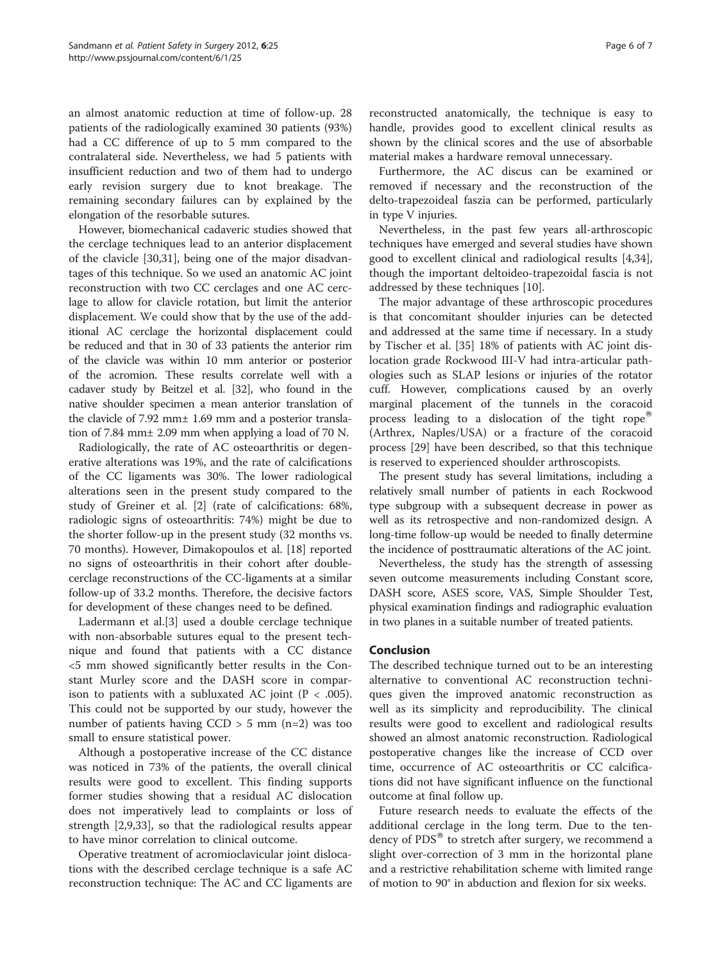an almost anatomic reduction at time of follow-up. 28 patients of the radiologically examined 30 patients (93%) had a CC difference of up to 5 mm compared to the contralateral side. Nevertheless, we had 5 patients with insufficient reduction and two of them had to undergo early revision surgery due to knot breakage. The remaining secondary failures can by explained by the elongation of the resorbable sutures.

However, biomechanical cadaveric studies showed that the cerclage techniques lead to an anterior displacement of the clavicle [\[30,31](#page-6-0)], being one of the major disadvantages of this technique. So we used an anatomic AC joint reconstruction with two CC cerclages and one AC cerclage to allow for clavicle rotation, but limit the anterior displacement. We could show that by the use of the additional AC cerclage the horizontal displacement could be reduced and that in 30 of 33 patients the anterior rim of the clavicle was within 10 mm anterior or posterior of the acromion. These results correlate well with a cadaver study by Beitzel et al. [\[32\]](#page-6-0), who found in the native shoulder specimen a mean anterior translation of the clavicle of 7.92 mm± 1.69 mm and a posterior translation of 7.84 mm± 2.09 mm when applying a load of 70 N.

Radiologically, the rate of AC osteoarthritis or degenerative alterations was 19%, and the rate of calcifications of the CC ligaments was 30%. The lower radiological alterations seen in the present study compared to the study of Greiner et al. [[2](#page-6-0)] (rate of calcifications: 68%, radiologic signs of osteoarthritis: 74%) might be due to the shorter follow-up in the present study (32 months vs. 70 months). However, Dimakopoulos et al. [[18](#page-6-0)] reported no signs of osteoarthritis in their cohort after doublecerclage reconstructions of the CC-ligaments at a similar follow-up of 33.2 months. Therefore, the decisive factors for development of these changes need to be defined.

Ladermann et al.[\[3\]](#page-6-0) used a double cerclage technique with non-absorbable sutures equal to the present technique and found that patients with a CC distance <5 mm showed significantly better results in the Constant Murley score and the DASH score in comparison to patients with a subluxated AC joint ( $P < .005$ ). This could not be supported by our study, however the number of patients having  $CCD > 5$  mm (n=2) was too small to ensure statistical power.

Although a postoperative increase of the CC distance was noticed in 73% of the patients, the overall clinical results were good to excellent. This finding supports former studies showing that a residual AC dislocation does not imperatively lead to complaints or loss of strength [[2,9,33\]](#page-6-0), so that the radiological results appear to have minor correlation to clinical outcome.

Operative treatment of acromioclavicular joint dislocations with the described cerclage technique is a safe AC reconstruction technique: The AC and CC ligaments are

reconstructed anatomically, the technique is easy to handle, provides good to excellent clinical results as shown by the clinical scores and the use of absorbable material makes a hardware removal unnecessary.

Furthermore, the AC discus can be examined or removed if necessary and the reconstruction of the delto-trapezoideal faszia can be performed, particularly in type V injuries.

Nevertheless, in the past few years all-arthroscopic techniques have emerged and several studies have shown good to excellent clinical and radiological results [\[4,34](#page-6-0)], though the important deltoideo-trapezoidal fascia is not addressed by these techniques [\[10](#page-6-0)].

The major advantage of these arthroscopic procedures is that concomitant shoulder injuries can be detected and addressed at the same time if necessary. In a study by Tischer et al. [[35\]](#page-6-0) 18% of patients with AC joint dislocation grade Rockwood III-V had intra-articular pathologies such as SLAP lesions or injuries of the rotator cuff. However, complications caused by an overly marginal placement of the tunnels in the coracoid process leading to a dislocation of the tight rope<sup>®</sup> (Arthrex, Naples/USA) or a fracture of the coracoid process [[29\]](#page-6-0) have been described, so that this technique is reserved to experienced shoulder arthroscopists.

The present study has several limitations, including a relatively small number of patients in each Rockwood type subgroup with a subsequent decrease in power as well as its retrospective and non-randomized design. A long-time follow-up would be needed to finally determine the incidence of posttraumatic alterations of the AC joint.

Nevertheless, the study has the strength of assessing seven outcome measurements including Constant score, DASH score, ASES score, VAS, Simple Shoulder Test, physical examination findings and radiographic evaluation in two planes in a suitable number of treated patients.

# Conclusion

The described technique turned out to be an interesting alternative to conventional AC reconstruction techniques given the improved anatomic reconstruction as well as its simplicity and reproducibility. The clinical results were good to excellent and radiological results showed an almost anatomic reconstruction. Radiological postoperative changes like the increase of CCD over time, occurrence of AC osteoarthritis or CC calcifications did not have significant influence on the functional outcome at final follow up.

Future research needs to evaluate the effects of the additional cerclage in the long term. Due to the tendency of  $PDS^{\circledast}$  to stretch after surgery, we recommend a slight over-correction of 3 mm in the horizontal plane and a restrictive rehabilitation scheme with limited range of motion to 90° in abduction and flexion for six weeks.